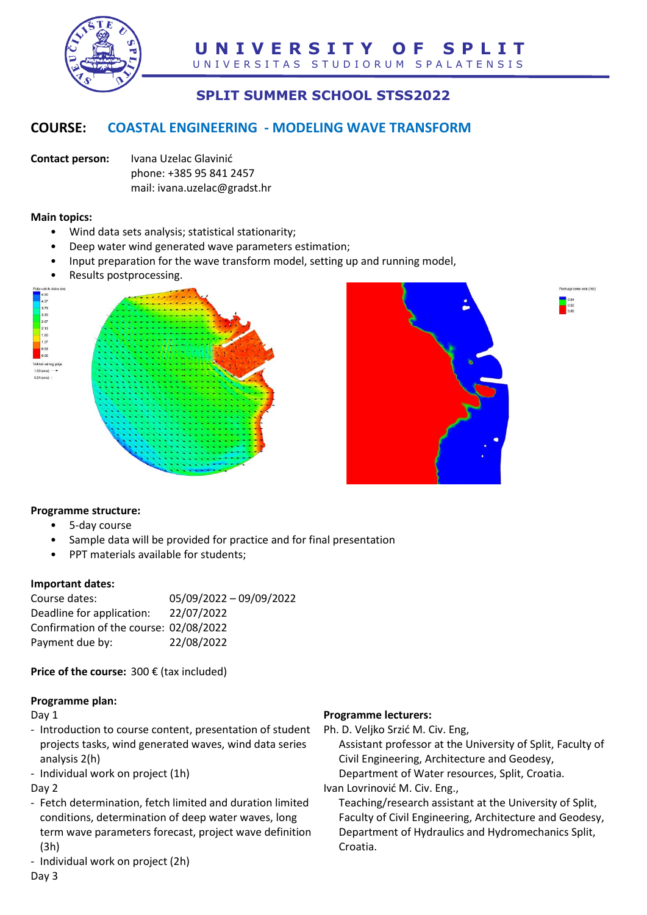

# **SPLIT SUMMER SCHOOL STSS2022**

## **COURSE: COASTAL ENGINEERING - MODELING WAVE TRANSFORM**

**Contact person:** Ivana Uzelac Glavinić phone: +385 95 841 2457 mail: ivana.uzelac@gradst.hr

#### **Main topics:**

- Wind data sets analysis; statistical stationarity;
- Deep water wind generated wave parameters estimation;
- Input preparation for the wave transform model, setting up and running model,
- Results postprocessing.







#### **Programme structure:**

- 5-day course
- Sample data will be provided for practice and for final presentation
- PPT materials available for students;

#### **Important dates:**

| 05/09/2022 - 09/09/2022                |
|----------------------------------------|
| 22/07/2022                             |
| Confirmation of the course: 02/08/2022 |
| 22/08/2022                             |
|                                        |

**Price of the course:** 300 € (tax included)

#### **Programme plan:**

Day 1

- Introduction to course content, presentation of student projects tasks, wind generated waves, wind data series analysis 2(h)
- Individual work on project (1h)

Day 2

- Fetch determination, fetch limited and duration limited conditions, determination of deep water waves, long term wave parameters forecast, project wave definition (3h)
- Individual work on project (2h)

Day 3

### **Programme lecturers:**

Ph. D. Veljko Srzić M. Civ. Eng,

Assistant professor at the University of Split, Faculty of Civil Engineering, Architecture and Geodesy, Department of Water resources, Split, Croatia.

Ivan Lovrinović M. Civ. Eng.,

Teaching/research assistant at the University of Split, Faculty of Civil Engineering, Architecture and Geodesy, Department of Hydraulics and Hydromechanics Split, Croatia.